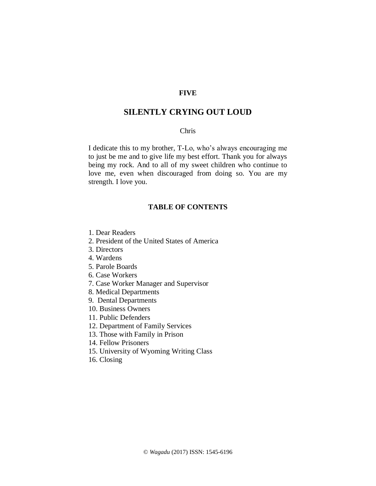# **FIVE**

# **SILENTLY CRYING OUT LOUD**

## Chris

I dedicate this to my brother, T-Lo, who's always encouraging me to just be me and to give life my best effort. Thank you for always being my rock. And to all of my sweet children who continue to love me, even when discouraged from doing so. You are my strength. I love you.

# **TABLE OF CONTENTS**

- 1. Dear Readers
- 2. President of the United States of America
- 3. Directors
- 4. Wardens
- 5. Parole Boards
- 6. Case Workers
- 7. Case Worker Manager and Supervisor
- 8. Medical Departments
- 9. Dental Departments
- 10. Business Owners
- 11. Public Defenders
- 12. Department of Family Services
- 13. Those with Family in Prison
- 14. Fellow Prisoners
- 15. University of Wyoming Writing Class
- 16. Closing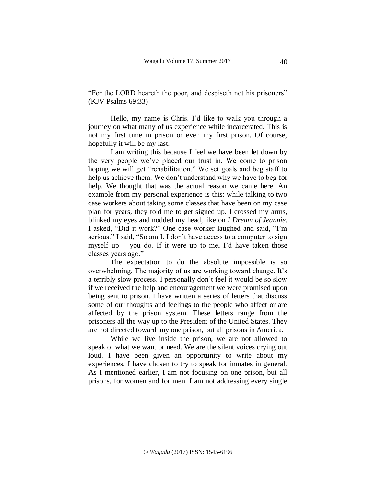"For the LORD heareth the poor, and despiseth not his prisoners" (KJV Psalms 69:33)

Hello, my name is Chris. I'd like to walk you through a journey on what many of us experience while incarcerated. This is not my first time in prison or even my first prison. Of course, hopefully it will be my last.

I am writing this because I feel we have been let down by the very people we've placed our trust in. We come to prison hoping we will get "rehabilitation." We set goals and beg staff to help us achieve them. We don't understand why we have to beg for help. We thought that was the actual reason we came here. An example from my personal experience is this: while talking to two case workers about taking some classes that have been on my case plan for years, they told me to get signed up. I crossed my arms, blinked my eyes and nodded my head, like on *I Dream of Jeannie*. I asked, "Did it work?" One case worker laughed and said, "I'm serious." I said, "So am I. I don't have access to a computer to sign myself up— you do. If it were up to me, I'd have taken those classes years ago."

The expectation to do the absolute impossible is so overwhelming. The majority of us are working toward change. It's a terribly slow process. I personally don't feel it would be so slow if we received the help and encouragement we were promised upon being sent to prison. I have written a series of letters that discuss some of our thoughts and feelings to the people who affect or are affected by the prison system. These letters range from the prisoners all the way up to the President of the United States. They are not directed toward any one prison, but all prisons in America.

While we live inside the prison, we are not allowed to speak of what we want or need. We are the silent voices crying out loud. I have been given an opportunity to write about my experiences. I have chosen to try to speak for inmates in general. As I mentioned earlier, I am not focusing on one prison, but all prisons, for women and for men. I am not addressing every single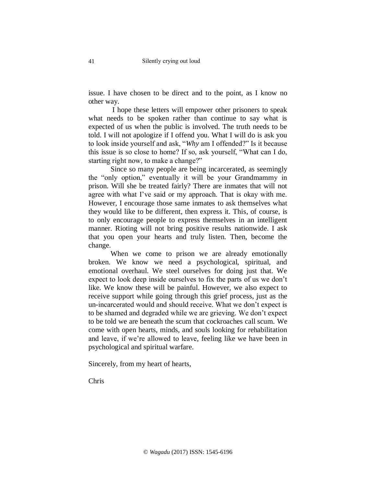issue. I have chosen to be direct and to the point, as I know no other way.

I hope these letters will empower other prisoners to speak what needs to be spoken rather than continue to say what is expected of us when the public is involved. The truth needs to be told. I will not apologize if I offend you. What I will do is ask you to look inside yourself and ask, "*Why* am I offended?" Is it because this issue is so close to home? If so, ask yourself, "What can I do, starting right now, to make a change?"

Since so many people are being incarcerated, as seemingly the "only option," eventually it will be your Grandmammy in prison. Will she be treated fairly? There are inmates that will not agree with what I've said or my approach. That is okay with me. However, I encourage those same inmates to ask themselves what they would like to be different, then express it. This, of course, is to only encourage people to express themselves in an intelligent manner. Rioting will not bring positive results nationwide. I ask that you open your hearts and truly listen. Then, become the change.

When we come to prison we are already emotionally broken. We know we need a psychological, spiritual, and emotional overhaul. We steel ourselves for doing just that. We expect to look deep inside ourselves to fix the parts of us we don't like. We know these will be painful. However, we also expect to receive support while going through this grief process, just as the un-incarcerated would and should receive. What we don't expect is to be shamed and degraded while we are grieving. We don't expect to be told we are beneath the scum that cockroaches call scum. We come with open hearts, minds, and souls looking for rehabilitation and leave, if we're allowed to leave, feeling like we have been in psychological and spiritual warfare.

Sincerely, from my heart of hearts,

Chris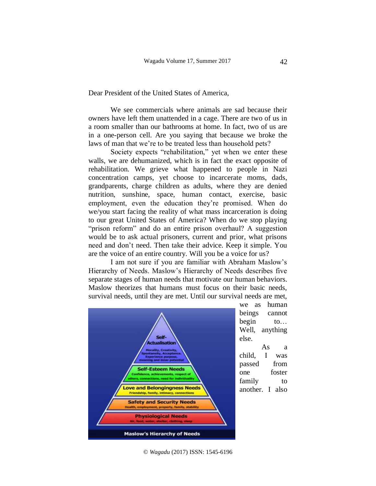Dear President of the United States of America,

We see commercials where animals are sad because their owners have left them unattended in a cage. There are two of us in a room smaller than our bathrooms at home. In fact, two of us are in a one-person cell. Are you saying that because we broke the laws of man that we're to be treated less than household pets?

Society expects "rehabilitation," yet when we enter these walls, we are dehumanized, which is in fact the exact opposite of rehabilitation. We grieve what happened to people in Nazi concentration camps, yet choose to incarcerate moms, dads, grandparents, charge children as adults, where they are denied nutrition, sunshine, space, human contact, exercise, basic employment, even the education they're promised. When do we/you start facing the reality of what mass incarceration is doing to our great United States of America? When do we stop playing "prison reform" and do an entire prison overhaul? A suggestion would be to ask actual prisoners, current and prior, what prisons need and don't need. Then take their advice. Keep it simple. You are the voice of an entire country. Will you be a voice for us?

I am not sure if you are familiar with Abraham Maslow's Hierarchy of Needs. Maslow's Hierarchy of Needs describes five separate stages of human needs that motivate our human behaviors. Maslow theorizes that humans must focus on their basic needs, survival needs, until they are met. Until our survival needs are met,



we as human beings cannot begin to... Well, anything else.

As a child, I was passed from one foster family to another. I also

© *Wagadu* (2017) ISSN: 1545-6196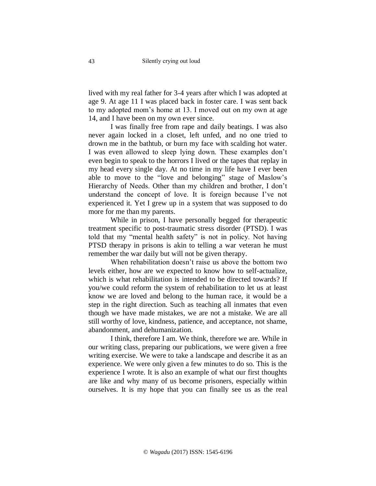lived with my real father for 3-4 years after which I was adopted at age 9. At age 11 I was placed back in foster care. I was sent back to my adopted mom's home at 13. I moved out on my own at age 14, and I have been on my own ever since.

I was finally free from rape and daily beatings. I was also never again locked in a closet, left unfed, and no one tried to drown me in the bathtub, or burn my face with scalding hot water. I was even allowed to sleep lying down. These examples don't even begin to speak to the horrors I lived or the tapes that replay in my head every single day. At no time in my life have I ever been able to move to the "love and belonging" stage of Maslow's Hierarchy of Needs. Other than my children and brother, I don't understand the concept of love. It is foreign because I've not experienced it. Yet I grew up in a system that was supposed to do more for me than my parents.

While in prison, I have personally begged for therapeutic treatment specific to post-traumatic stress disorder (PTSD). I was told that my "mental health safety" is not in policy. Not having PTSD therapy in prisons is akin to telling a war veteran he must remember the war daily but will not be given therapy.

When rehabilitation doesn't raise us above the bottom two levels either, how are we expected to know how to self-actualize, which is what rehabilitation is intended to be directed towards? If you/we could reform the system of rehabilitation to let us at least know we are loved and belong to the human race, it would be a step in the right direction. Such as teaching all inmates that even though we have made mistakes, we are not a mistake. We are all still worthy of love, kindness, patience, and acceptance, not shame, abandonment, and dehumanization.

I think, therefore I am. We think, therefore we are. While in our writing class, preparing our publications, we were given a free writing exercise. We were to take a landscape and describe it as an experience. We were only given a few minutes to do so. This is the experience I wrote. It is also an example of what our first thoughts are like and why many of us become prisoners, especially within ourselves. It is my hope that you can finally see us as the real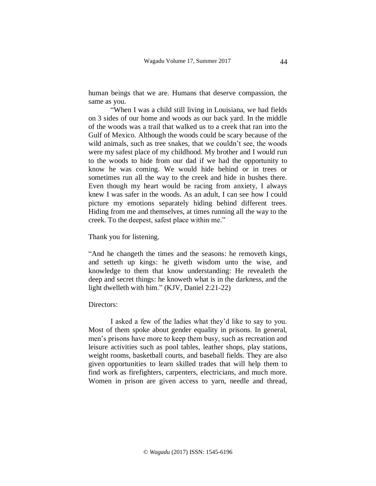human beings that we are. Humans that deserve compassion, the same as you.

"When I was a child still living in Louisiana, we had fields on 3 sides of our home and woods as our back yard. In the middle of the woods was a trail that walked us to a creek that ran into the Gulf of Mexico. Although the woods could be scary because of the wild animals, such as tree snakes, that we couldn't see, the woods were my safest place of my childhood. My brother and I would run to the woods to hide from our dad if we had the opportunity to know he was coming. We would hide behind or in trees or sometimes run all the way to the creek and hide in bushes there. Even though my heart would be racing from anxiety, I always knew I was safer in the woods. As an adult, I can see how I could picture my emotions separately hiding behind different trees. Hiding from me and themselves, at times running all the way to the creek. To the deepest, safest place within me."

## Thank you for listening.

"And he changeth the times and the seasons: he removeth kings, and setteth up kings: he giveth wisdom unto the wise, and knowledge to them that know understanding: He revealeth the deep and secret things: he knoweth what is in the darkness, and the light dwelleth with him." (KJV, Daniel 2:21-22)

#### Directors:

I asked a few of the ladies what they'd like to say to you. Most of them spoke about gender equality in prisons. In general, men's prisons have more to keep them busy, such as recreation and leisure activities such as pool tables, leather shops, play stations, weight rooms, basketball courts, and baseball fields. They are also given opportunities to learn skilled trades that will help them to find work as firefighters, carpenters, electricians, and much more. Women in prison are given access to yarn, needle and thread,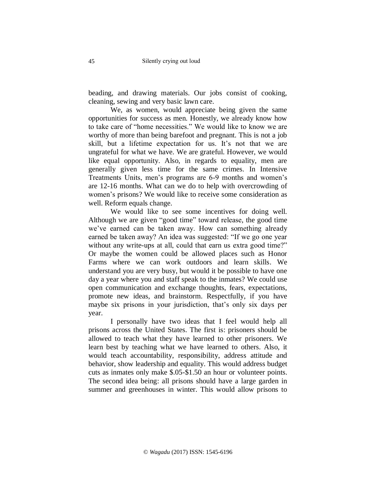beading, and drawing materials. Our jobs consist of cooking, cleaning, sewing and very basic lawn care.

We, as women, would appreciate being given the same opportunities for success as men. Honestly, we already know how to take care of "home necessities." We would like to know we are worthy of more than being barefoot and pregnant. This is not a job skill, but a lifetime expectation for us. It's not that we are ungrateful for what we have. We are grateful. However, we would like equal opportunity. Also, in regards to equality, men are generally given less time for the same crimes. In Intensive Treatments Units, men's programs are 6-9 months and women's are 12-16 months. What can we do to help with overcrowding of women's prisons? We would like to receive some consideration as well. Reform equals change.

We would like to see some incentives for doing well. Although we are given "good time" toward release, the good time we've earned can be taken away. How can something already earned be taken away? An idea was suggested: "If we go one year without any write-ups at all, could that earn us extra good time?" Or maybe the women could be allowed places such as Honor Farms where we can work outdoors and learn skills. We understand you are very busy, but would it be possible to have one day a year where you and staff speak to the inmates? We could use open communication and exchange thoughts, fears, expectations, promote new ideas, and brainstorm. Respectfully, if you have maybe six prisons in your jurisdiction, that's only six days per year.

I personally have two ideas that I feel would help all prisons across the United States. The first is: prisoners should be allowed to teach what they have learned to other prisoners. We learn best by teaching what we have learned to others. Also, it would teach accountability, responsibility, address attitude and behavior, show leadership and equality. This would address budget cuts as inmates only make \$.05-\$1.50 an hour or volunteer points. The second idea being: all prisons should have a large garden in summer and greenhouses in winter. This would allow prisons to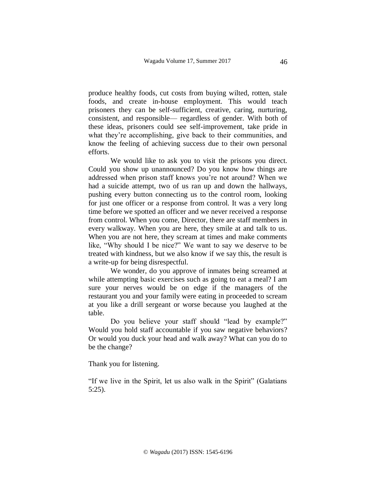produce healthy foods, cut costs from buying wilted, rotten, stale foods, and create in-house employment. This would teach prisoners they can be self-sufficient, creative, caring, nurturing, consistent, and responsible— regardless of gender. With both of these ideas, prisoners could see self-improvement, take pride in what they're accomplishing, give back to their communities, and know the feeling of achieving success due to their own personal efforts.

We would like to ask you to visit the prisons you direct. Could you show up unannounced? Do you know how things are addressed when prison staff knows you're not around? When we had a suicide attempt, two of us ran up and down the hallways, pushing every button connecting us to the control room, looking for just one officer or a response from control. It was a very long time before we spotted an officer and we never received a response from control. When you come, Director, there are staff members in every walkway. When you are here, they smile at and talk to us. When you are not here, they scream at times and make comments like, "Why should I be nice?" We want to say we deserve to be treated with kindness, but we also know if we say this, the result is a write-up for being disrespectful.

We wonder, do you approve of inmates being screamed at while attempting basic exercises such as going to eat a meal? I am sure your nerves would be on edge if the managers of the restaurant you and your family were eating in proceeded to scream at you like a drill sergeant or worse because you laughed at the table.

Do you believe your staff should "lead by example?" Would you hold staff accountable if you saw negative behaviors? Or would you duck your head and walk away? What can you do to be the change?

Thank you for listening.

"If we live in the Spirit, let us also walk in the Spirit" (Galatians 5:25).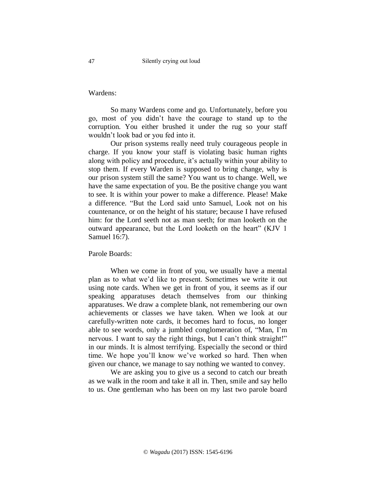Wardens:

So many Wardens come and go. Unfortunately, before you go, most of you didn't have the courage to stand up to the corruption. You either brushed it under the rug so your staff wouldn't look bad or you fed into it.

Our prison systems really need truly courageous people in charge. If you know your staff is violating basic human rights along with policy and procedure, it's actually within your ability to stop them. If every Warden is supposed to bring change, why is our prison system still the same? You want us to change. Well, we have the same expectation of you. Be the positive change you want to see. It is within your power to make a difference. Please! Make a difference. "But the Lord said unto Samuel, Look not on his countenance, or on the height of his stature; because I have refused him: for the Lord seeth not as man seeth; for man looketh on the outward appearance, but the Lord looketh on the heart" (KJV 1 Samuel 16:7).

Parole Boards:

When we come in front of you, we usually have a mental plan as to what we'd like to present. Sometimes we write it out using note cards. When we get in front of you, it seems as if our speaking apparatuses detach themselves from our thinking apparatuses. We draw a complete blank, not remembering our own achievements or classes we have taken. When we look at our carefully-written note cards, it becomes hard to focus, no longer able to see words, only a jumbled conglomeration of, "Man, I'm nervous. I want to say the right things, but I can't think straight!" in our minds. It is almost terrifying. Especially the second or third time. We hope you'll know we've worked so hard. Then when given our chance, we manage to say nothing we wanted to convey.

We are asking you to give us a second to catch our breath as we walk in the room and take it all in. Then, smile and say hello to us. One gentleman who has been on my last two parole board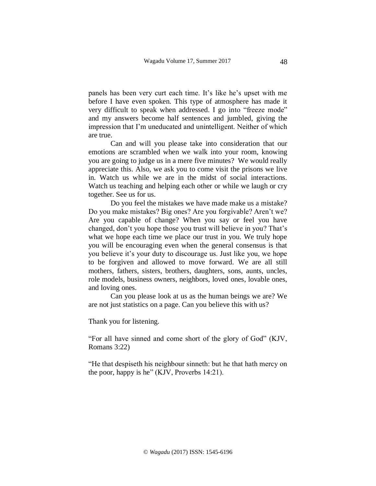panels has been very curt each time. It's like he's upset with me before I have even spoken. This type of atmosphere has made it very difficult to speak when addressed. I go into "freeze mode" and my answers become half sentences and jumbled, giving the impression that I'm uneducated and unintelligent. Neither of which are true.

Can and will you please take into consideration that our emotions are scrambled when we walk into your room, knowing you are going to judge us in a mere five minutes? We would really appreciate this. Also, we ask you to come visit the prisons we live in. Watch us while we are in the midst of social interactions. Watch us teaching and helping each other or while we laugh or cry together. See us for us.

Do you feel the mistakes we have made make us a mistake? Do you make mistakes? Big ones? Are you forgivable? Aren't we? Are you capable of change? When you say or feel you have changed, don't you hope those you trust will believe in you? That's what we hope each time we place our trust in you. We truly hope you will be encouraging even when the general consensus is that you believe it's your duty to discourage us. Just like you, we hope to be forgiven and allowed to move forward. We are all still mothers, fathers, sisters, brothers, daughters, sons, aunts, uncles, role models, business owners, neighbors, loved ones, lovable ones, and loving ones.

Can you please look at us as the human beings we are? We are not just statistics on a page. Can you believe this with us?

Thank you for listening.

"For all have sinned and come short of the glory of God" (KJV, Romans 3:22)

"He that despiseth his neighbour sinneth: but he that hath mercy on the poor, happy is he" (KJV, Proverbs 14:21).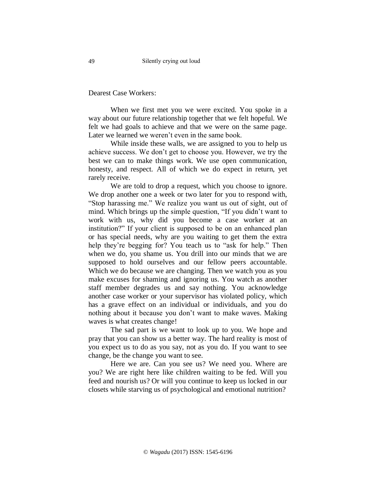Dearest Case Workers:

When we first met you we were excited. You spoke in a way about our future relationship together that we felt hopeful. We felt we had goals to achieve and that we were on the same page. Later we learned we weren't even in the same book.

While inside these walls, we are assigned to you to help us achieve success. We don't get to choose you. However, we try the best we can to make things work. We use open communication, honesty, and respect. All of which we do expect in return, yet rarely receive.

We are told to drop a request, which you choose to ignore. We drop another one a week or two later for you to respond with, "Stop harassing me." We realize you want us out of sight, out of mind. Which brings up the simple question, "If you didn't want to work with us, why did you become a case worker at an institution?" If your client is supposed to be on an enhanced plan or has special needs, why are you waiting to get them the extra help they're begging for? You teach us to "ask for help." Then when we do, you shame us. You drill into our minds that we are supposed to hold ourselves and our fellow peers accountable. Which we do because we are changing. Then we watch you as you make excuses for shaming and ignoring us. You watch as another staff member degrades us and say nothing. You acknowledge another case worker or your supervisor has violated policy, which has a grave effect on an individual or individuals, and you do nothing about it because you don't want to make waves. Making waves is what creates change!

The sad part is we want to look up to you. We hope and pray that you can show us a better way. The hard reality is most of you expect us to do as you say, not as you do. If you want to see change, be the change you want to see.

Here we are. Can you see us? We need you. Where are you? We are right here like children waiting to be fed. Will you feed and nourish us? Or will you continue to keep us locked in our closets while starving us of psychological and emotional nutrition?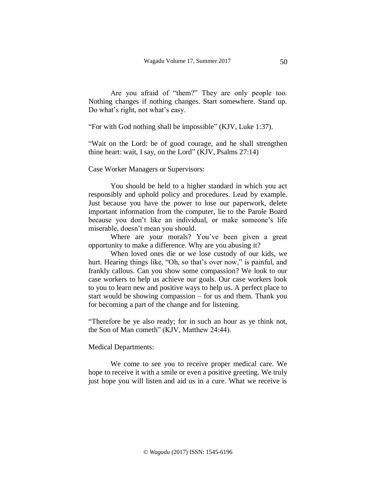Are you afraid of "them?" They are only people too. Nothing changes if nothing changes. Start somewhere. Stand up. Do what's right, not what's easy.

"For with God nothing shall be impossible" (KJV, Luke 1:37).

"Wait on the Lord: be of good courage, and he shall strengthen thine heart: wait, I say, on the Lord" (KJV, Psalms 27:14)

Case Worker Managers or Supervisors:

You should be held to a higher standard in which you act responsibly and uphold policy and procedures. Lead by example. Just because you have the power to lose our paperwork, delete important information from the computer, lie to the Parole Board because you don't like an individual, or make someone's life miserable, doesn't mean you should.

Where are your morals? You've been given a great opportunity to make a difference. Why are you abusing it?

When loved ones die or we lose custody of our kids, we hurt. Hearing things like, "Oh, so that's over now," is painful, and frankly callous. Can you show some compassion? We look to our case workers to help us achieve our goals. Our case workers look to you to learn new and positive ways to help us. A perfect place to start would be showing compassion – for us and them. Thank you for becoming a part of the change and for listening.

"Therefore be ye also ready; for in such an hour as ye think not, the Son of Man cometh" (KJV, Matthew 24:44).

### Medical Departments:

We come to see you to receive proper medical care. We hope to receive it with a smile or even a positive greeting. We truly just hope you will listen and aid us in a cure. What we receive is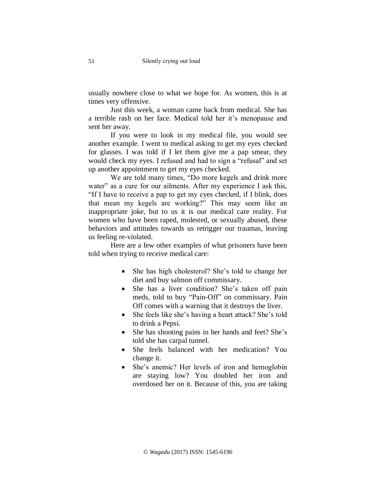usually nowhere close to what we hope for. As women, this is at times very offensive.

Just this week, a woman came back from medical. She has a terrible rash on her face. Medical told her it's menopause and sent her away.

If you were to look in my medical file, you would see another example. I went to medical asking to get my eyes checked for glasses. I was told if I let them give me a pap smear, they would check my eyes. I refused and had to sign a "refusal" and set up another appointment to get my eyes checked.

We are told many times, "Do more kegels and drink more water" as a cure for our ailments. After my experience I ask this, "If I have to receive a pap to get my eyes checked, if I blink, does that mean my kegels are working?" This may seem like an inappropriate joke, but to us it is our medical care reality. For women who have been raped, molested, or sexually abused, these behaviors and attitudes towards us retrigger our traumas, leaving us feeling re-violated.

Here are a few other examples of what prisoners have been told when trying to receive medical care:

- She has high cholesterol? She's told to change her diet and buy salmon off commissary.
- She has a liver condition? She's taken off pain meds, told to buy "Pain-Off" on commissary. Pain Off comes with a warning that it destroys the liver.
- She feels like she's having a heart attack? She's told to drink a Pepsi.
- She has shooting pains in her hands and feet? She's told she has carpal tunnel.
- She feels balanced with her medication? You change it.
- She's anemic? Her levels of iron and hemoglobin are staying low? You doubled her iron and overdosed her on it. Because of this, you are taking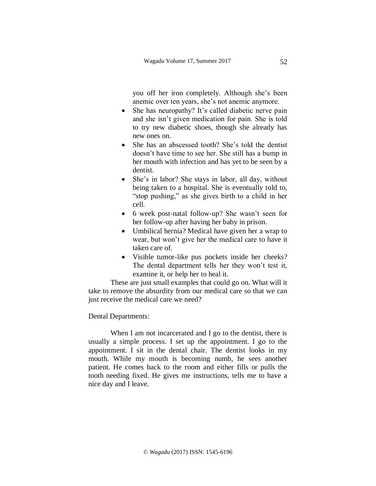you off her iron completely. Although she's been anemic over ten years, she's not anemic anymore.

- She has neuropathy? It's called diabetic nerve pain and she isn't given medication for pain. She is told to try new diabetic shoes, though she already has new ones on.
- She has an abscessed tooth? She's told the dentist doesn't have time to see her. She still has a bump in her mouth with infection and has yet to be seen by a dentist.
- She's in labor? She stays in labor, all day, without being taken to a hospital. She is eventually told to, "stop pushing," as she gives birth to a child in her cell.
- 6 week post-natal follow-up? She wasn't seen for her follow-up after having her baby in prison.
- Umbilical hernia? Medical have given her a wrap to wear, but won't give her the medical care to have it taken care of.
- Visible tumor-like pus pockets inside her cheeks? The dental department tells her they won't test it, examine it, or help her to heal it.

These are just small examples that could go on. What will it take to remove the absurdity from our medical care so that we can just receive the medical care we need?

### Dental Departments:

When I am not incarcerated and I go to the dentist, there is usually a simple process. I set up the appointment. I go to the appointment. I sit in the dental chair. The dentist looks in my mouth. While my mouth is becoming numb, he sees another patient. He comes back to the room and either fills or pulls the tooth needing fixed. He gives me instructions, tells me to have a nice day and I leave.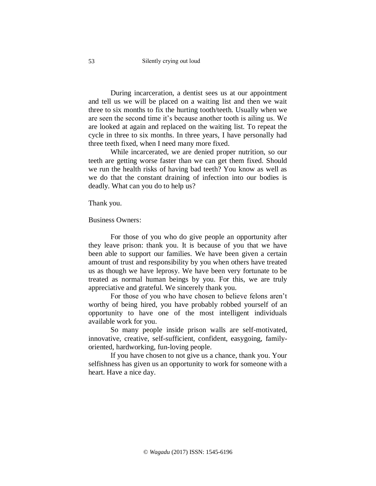During incarceration, a dentist sees us at our appointment and tell us we will be placed on a waiting list and then we wait three to six months to fix the hurting tooth/teeth. Usually when we are seen the second time it's because another tooth is ailing us. We are looked at again and replaced on the waiting list. To repeat the cycle in three to six months. In three years, I have personally had three teeth fixed, when I need many more fixed.

While incarcerated, we are denied proper nutrition, so our teeth are getting worse faster than we can get them fixed. Should we run the health risks of having bad teeth? You know as well as we do that the constant draining of infection into our bodies is deadly. What can you do to help us?

Thank you.

Business Owners:

For those of you who do give people an opportunity after they leave prison: thank you. It is because of you that we have been able to support our families. We have been given a certain amount of trust and responsibility by you when others have treated us as though we have leprosy. We have been very fortunate to be treated as normal human beings by you. For this, we are truly appreciative and grateful. We sincerely thank you.

For those of you who have chosen to believe felons aren't worthy of being hired, you have probably robbed yourself of an opportunity to have one of the most intelligent individuals available work for you.

So many people inside prison walls are self-motivated, innovative, creative, self-sufficient, confident, easygoing, familyoriented, hardworking, fun-loving people.

If you have chosen to not give us a chance, thank you. Your selfishness has given us an opportunity to work for someone with a heart. Have a nice day.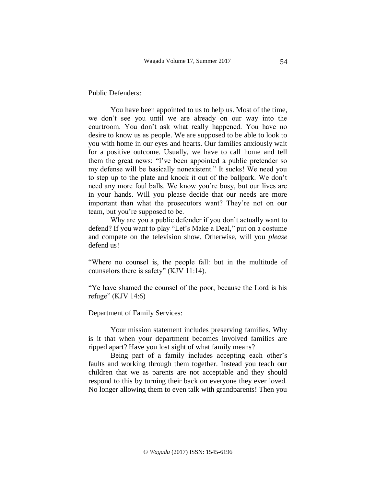Public Defenders:

You have been appointed to us to help us. Most of the time, we don't see you until we are already on our way into the courtroom. You don't ask what really happened. You have no desire to know us as people. We are supposed to be able to look to you with home in our eyes and hearts. Our families anxiously wait for a positive outcome. Usually, we have to call home and tell them the great news: "I've been appointed a public pretender so my defense will be basically nonexistent." It sucks! We need you to step up to the plate and knock it out of the ballpark. We don't need any more foul balls. We know you're busy, but our lives are in your hands. Will you please decide that our needs are more important than what the prosecutors want? They're not on our team, but you're supposed to be.

Why are you a public defender if you don't actually want to defend? If you want to play "Let's Make a Deal," put on a costume and compete on the television show. Otherwise, will you *please* defend us!

"Where no counsel is, the people fall: but in the multitude of counselors there is safety" (KJV 11:14).

"Ye have shamed the counsel of the poor, because the Lord is his refuge" (KJV 14:6)

Department of Family Services:

Your mission statement includes preserving families. Why is it that when your department becomes involved families are ripped apart? Have you lost sight of what family means?

Being part of a family includes accepting each other's faults and working through them together. Instead you teach our children that we as parents are not acceptable and they should respond to this by turning their back on everyone they ever loved. No longer allowing them to even talk with grandparents! Then you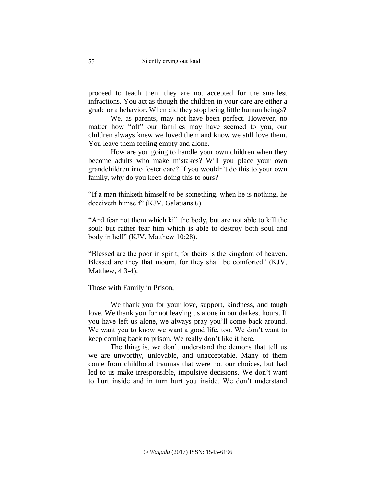proceed to teach them they are not accepted for the smallest infractions. You act as though the children in your care are either a grade or a behavior. When did they stop being little human beings?

We, as parents, may not have been perfect. However, no matter how "off" our families may have seemed to you, our children always knew we loved them and know we still love them. You leave them feeling empty and alone.

How are you going to handle your own children when they become adults who make mistakes? Will you place your own grandchildren into foster care? If you wouldn't do this to your own family, why do you keep doing this to ours?

"If a man thinketh himself to be something, when he is nothing, he deceiveth himself" (KJV, Galatians 6)

"And fear not them which kill the body, but are not able to kill the soul: but rather fear him which is able to destroy both soul and body in hell" (KJV, Matthew 10:28).

"Blessed are the poor in spirit, for theirs is the kingdom of heaven. Blessed are they that mourn, for they shall be comforted" (KJV, Matthew, 4:3-4).

Those with Family in Prison,

We thank you for your love, support, kindness, and tough love. We thank you for not leaving us alone in our darkest hours. If you have left us alone, we always pray you'll come back around. We want you to know we want a good life, too. We don't want to keep coming back to prison. We really don't like it here.

The thing is, we don't understand the demons that tell us we are unworthy, unlovable, and unacceptable. Many of them come from childhood traumas that were not our choices, but had led to us make irresponsible, impulsive decisions. We don't want to hurt inside and in turn hurt you inside. We don't understand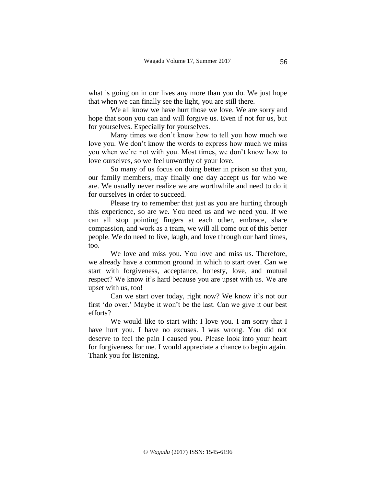what is going on in our lives any more than you do. We just hope that when we can finally see the light, you are still there.

We all know we have hurt those we love. We are sorry and hope that soon you can and will forgive us. Even if not for us, but for yourselves. Especially for yourselves.

Many times we don't know how to tell you how much we love you. We don't know the words to express how much we miss you when we're not with you. Most times, we don't know how to love ourselves, so we feel unworthy of your love.

So many of us focus on doing better in prison so that you, our family members, may finally one day accept us for who we are. We usually never realize we are worthwhile and need to do it for ourselves in order to succeed.

Please try to remember that just as you are hurting through this experience, so are we. You need us and we need you. If we can all stop pointing fingers at each other, embrace, share compassion, and work as a team, we will all come out of this better people. We do need to live, laugh, and love through our hard times, too.

We love and miss you. You love and miss us. Therefore, we already have a common ground in which to start over. Can we start with forgiveness, acceptance, honesty, love, and mutual respect? We know it's hard because you are upset with us. We are upset with us, too!

Can we start over today, right now? We know it's not our first 'do over.' Maybe it won't be the last. Can we give it our best efforts?

We would like to start with: I love you. I am sorry that I have hurt you. I have no excuses. I was wrong. You did not deserve to feel the pain I caused you. Please look into your heart for forgiveness for me. I would appreciate a chance to begin again. Thank you for listening.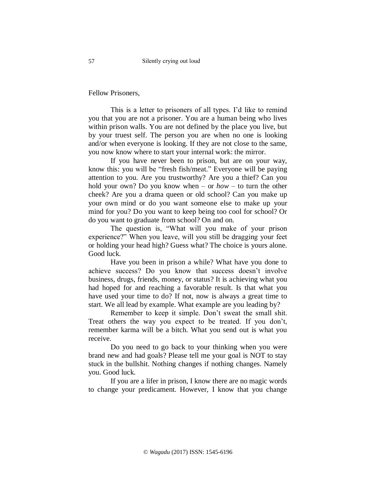Fellow Prisoners,

This is a letter to prisoners of all types. I'd like to remind you that you are not a prisoner. You are a human being who lives within prison walls. You are not defined by the place you live, but by your truest self. The person you are when no one is looking and/or when everyone is looking. If they are not close to the same, you now know where to start your internal work: the mirror.

If you have never been to prison, but are on your way, know this: you will be "fresh fish/meat." Everyone will be paying attention to you. Are you trustworthy? Are you a thief? Can you hold your own? Do you know when – or *how –* to turn the other cheek? Are you a drama queen or old school? Can you make up your own mind or do you want someone else to make up your mind for you? Do you want to keep being too cool for school? Or do you want to graduate from school? On and on.

The question is, "What will you make of your prison experience?" When you leave, will you still be dragging your feet or holding your head high? Guess what? The choice is yours alone. Good luck.

Have you been in prison a while? What have you done to achieve success? Do you know that success doesn't involve business, drugs, friends, money, or status? It is achieving what you had hoped for and reaching a favorable result. Is that what you have used your time to do? If not, now is always a great time to start. We all lead by example. What example are you leading by?

Remember to keep it simple. Don't sweat the small shit. Treat others the way you expect to be treated. If you don't, remember karma will be a bitch. What you send out is what you receive.

Do you need to go back to your thinking when you were brand new and had goals? Please tell me your goal is NOT to stay stuck in the bullshit. Nothing changes if nothing changes. Namely you. Good luck.

If you are a lifer in prison, I know there are no magic words to change your predicament. However, I know that you change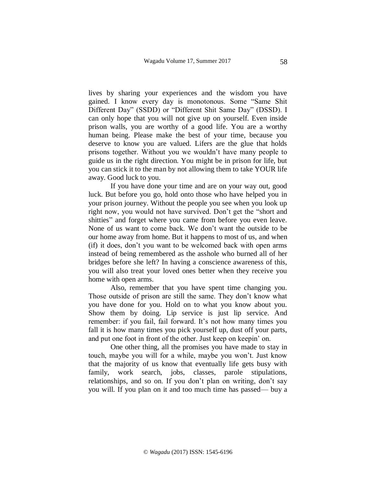lives by sharing your experiences and the wisdom you have gained. I know every day is monotonous. Some "Same Shit Different Day" (SSDD) or "Different Shit Same Day" (DSSD). I can only hope that you will not give up on yourself. Even inside prison walls, you are worthy of a good life. You are a worthy human being. Please make the best of your time, because you deserve to know you are valued. Lifers are the glue that holds prisons together. Without you we wouldn't have many people to guide us in the right direction. You might be in prison for life, but you can stick it to the man by not allowing them to take YOUR life away. Good luck to you.

If you have done your time and are on your way out, good luck. But before you go, hold onto those who have helped you in your prison journey. Without the people you see when you look up right now, you would not have survived. Don't get the "short and shitties" and forget where you came from before you even leave. None of us want to come back. We don't want the outside to be our home away from home. But it happens to most of us, and when (if) it does, don't you want to be welcomed back with open arms instead of being remembered as the asshole who burned all of her bridges before she left? In having a conscience awareness of this, you will also treat your loved ones better when they receive you home with open arms.

Also, remember that you have spent time changing you. Those outside of prison are still the same. They don't know what you have done for you. Hold on to what you know about you. Show them by doing. Lip service is just lip service. And remember: if you fail, fail forward. It's not how many times you fall it is how many times you pick yourself up, dust off your parts, and put one foot in front of the other. Just keep on keepin' on.

One other thing, all the promises you have made to stay in touch, maybe you will for a while, maybe you won't. Just know that the majority of us know that eventually life gets busy with family, work search, jobs, classes, parole stipulations, relationships, and so on. If you don't plan on writing, don't say you will. If you plan on it and too much time has passed— buy a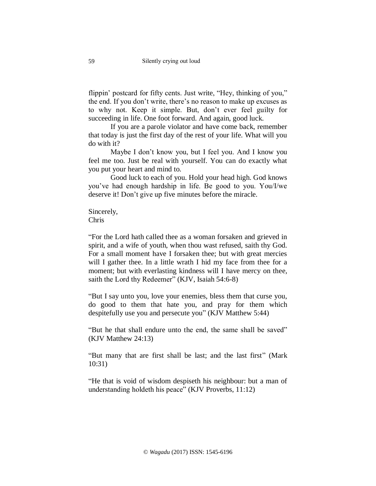flippin' postcard for fifty cents. Just write, "Hey, thinking of you," the end. If you don't write, there's no reason to make up excuses as to why not. Keep it simple. But, don't ever feel guilty for succeeding in life. One foot forward. And again, good luck.

If you are a parole violator and have come back, remember that today is just the first day of the rest of your life. What will you do with it?

Maybe I don't know you, but I feel you. And I know you feel me too. Just be real with yourself. You can do exactly what you put your heart and mind to.

Good luck to each of you. Hold your head high. God knows you've had enough hardship in life. Be good to you. You/I/we deserve it! Don't give up five minutes before the miracle.

Sincerely, Chris

"For the Lord hath called thee as a woman forsaken and grieved in spirit, and a wife of youth, when thou wast refused, saith thy God. For a small moment have I forsaken thee; but with great mercies will I gather thee. In a little wrath I hid my face from thee for a moment; but with everlasting kindness will I have mercy on thee, saith the Lord thy Redeemer" (KJV, Isaiah 54:6-8)

"But I say unto you, love your enemies, bless them that curse you, do good to them that hate you, and pray for them which despitefully use you and persecute you" (KJV Matthew 5:44)

"But he that shall endure unto the end, the same shall be saved" (KJV Matthew 24:13)

"But many that are first shall be last; and the last first" (Mark 10:31)

"He that is void of wisdom despiseth his neighbour: but a man of understanding holdeth his peace" (KJV Proverbs, 11:12)

59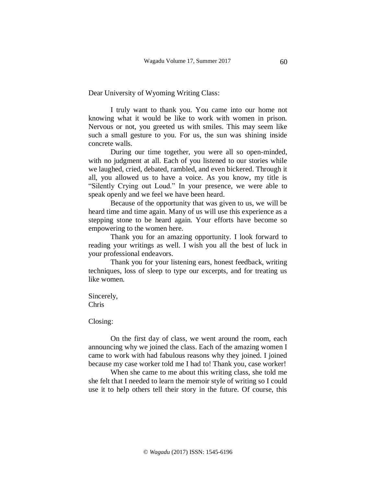Dear University of Wyoming Writing Class:

I truly want to thank you. You came into our home not knowing what it would be like to work with women in prison. Nervous or not, you greeted us with smiles. This may seem like such a small gesture to you. For us, the sun was shining inside concrete walls.

During our time together, you were all so open-minded, with no judgment at all. Each of you listened to our stories while we laughed, cried, debated, rambled, and even bickered. Through it all, you allowed us to have a voice. As you know, my title is "Silently Crying out Loud." In your presence, we were able to speak openly and we feel we have been heard.

Because of the opportunity that was given to us, we will be heard time and time again. Many of us will use this experience as a stepping stone to be heard again. Your efforts have become so empowering to the women here.

Thank you for an amazing opportunity. I look forward to reading your writings as well. I wish you all the best of luck in your professional endeavors.

Thank you for your listening ears, honest feedback, writing techniques, loss of sleep to type our excerpts, and for treating us like women.

Sincerely, Chris

Closing:

On the first day of class, we went around the room, each announcing why we joined the class. Each of the amazing women I came to work with had fabulous reasons why they joined. I joined because my case worker told me I had to! Thank you, case worker!

When she came to me about this writing class, she told me she felt that I needed to learn the memoir style of writing so I could use it to help others tell their story in the future. Of course, this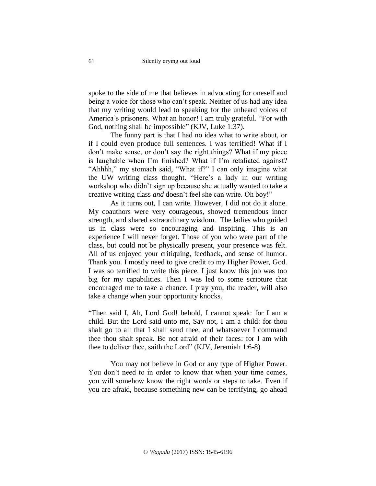spoke to the side of me that believes in advocating for oneself and being a voice for those who can't speak. Neither of us had any idea that my writing would lead to speaking for the unheard voices of America's prisoners. What an honor! I am truly grateful. "For with God, nothing shall be impossible" (KJV, Luke 1:37).

The funny part is that I had no idea what to write about, or if I could even produce full sentences. I was terrified! What if I don't make sense, or don't say the right things? What if my piece is laughable when I'm finished? What if I'm retaliated against? "Ahhhh," my stomach said, "What if?" I can only imagine what the UW writing class thought. "Here's a lady in our writing workshop who didn't sign up because she actually wanted to take a creative writing class *and* doesn't feel she can write. Oh boy!"

As it turns out, I can write. However, I did not do it alone. My coauthors were very courageous, showed tremendous inner strength, and shared extraordinary wisdom. The ladies who guided us in class were so encouraging and inspiring. This is an experience I will never forget. Those of you who were part of the class, but could not be physically present, your presence was felt. All of us enjoyed your critiquing, feedback, and sense of humor. Thank you. I mostly need to give credit to my Higher Power, God. I was so terrified to write this piece. I just know this job was too big for my capabilities. Then I was led to some scripture that encouraged me to take a chance. I pray you, the reader, will also take a change when your opportunity knocks.

"Then said I, Ah, Lord God! behold, I cannot speak: for I am a child. But the Lord said unto me, Say not, I am a child: for thou shalt go to all that I shall send thee, and whatsoever I command thee thou shalt speak. Be not afraid of their faces: for I am with thee to deliver thee, saith the Lord" (KJV, Jeremiah 1:6-8)

You may not believe in God or any type of Higher Power. You don't need to in order to know that when your time comes, you will somehow know the right words or steps to take. Even if you are afraid, because something new can be terrifying, go ahead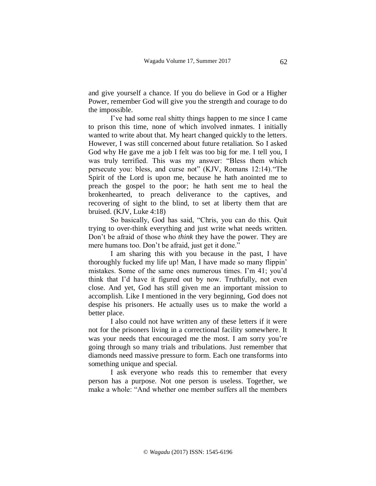and give yourself a chance. If you do believe in God or a Higher Power, remember God will give you the strength and courage to do the impossible.

I've had some real shitty things happen to me since I came to prison this time, none of which involved inmates. I initially wanted to write about that. My heart changed quickly to the letters. However, I was still concerned about future retaliation. So I asked God why He gave me a job I felt was too big for me. I tell you, I was truly terrified. This was my answer: "Bless them which persecute you: bless, and curse not" (KJV, Romans 12:14)."The Spirit of the Lord is upon me, because he hath anointed me to preach the gospel to the poor; he hath sent me to heal the brokenhearted, to preach deliverance to the captives, and recovering of sight to the blind, to set at liberty them that are bruised. (KJV, Luke 4:18)

So basically, God has said, "Chris, you can do this. Quit trying to over-think everything and just write what needs written. Don't be afraid of those who *think* they have the power. They are mere humans too. Don't be afraid, just get it done."

I am sharing this with you because in the past, I have thoroughly fucked my life up! Man, I have made so many flippin' mistakes. Some of the same ones numerous times. I'm 41; you'd think that I'd have it figured out by now. Truthfully, not even close. And yet, God has still given me an important mission to accomplish. Like I mentioned in the very beginning, God does not despise his prisoners. He actually uses us to make the world a better place.

I also could not have written any of these letters if it were not for the prisoners living in a correctional facility somewhere. It was your needs that encouraged me the most. I am sorry you're going through so many trials and tribulations. Just remember that diamonds need massive pressure to form. Each one transforms into something unique and special.

I ask everyone who reads this to remember that every person has a purpose. Not one person is useless. Together, we make a whole: "And whether one member suffers all the members